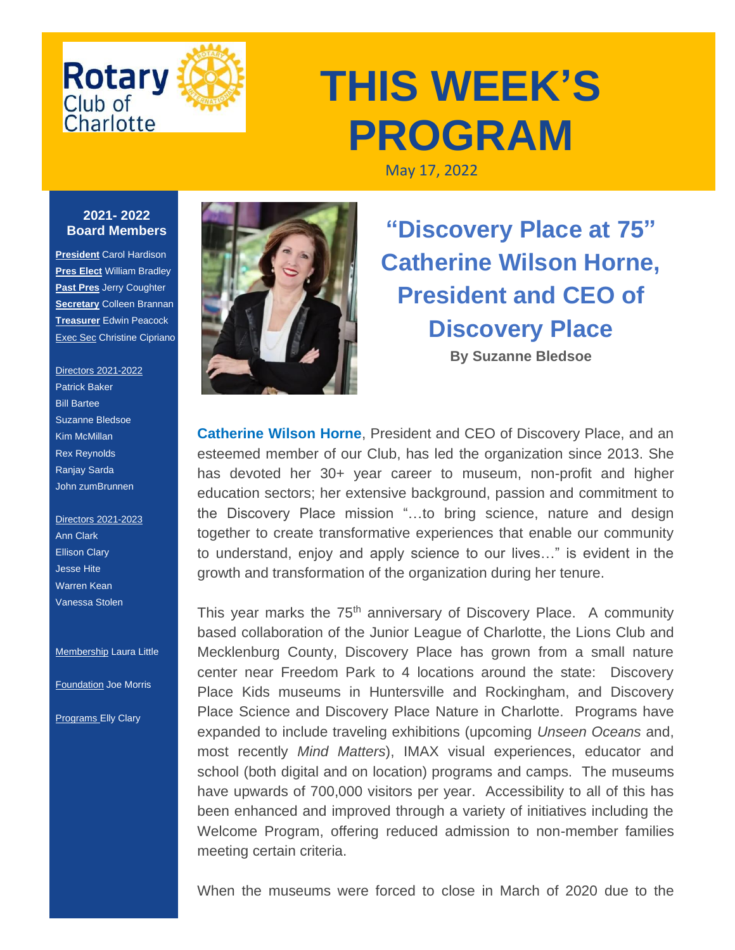

## **THIS WEEK'S PROGRAM**

May 17, 2022

## **2021- 2022 Board Members**

**President** Carol Hardison **Pres Elect** William Bradley **Past Pres** Jerry Coughter **Secretary** Colleen Brannan **Treasurer** Edwin Peacock Exec Sec Christine Cipriano

## Directors 2021-2022 Patrick Baker Bill Bartee Suzanne Bledsoe Kim McMillan Rex Reynolds Ranjay Sarda

John zumBrunnen Directors 2021-2023

Ann Clark Ellison Clary Jesse Hite Warren Kean Vanessa Stolen

**Membership Laura Little** 

Foundation Joe Morris

**Programs Elly Clary** 



**"Discovery Place at 75" Catherine Wilson Horne, President and CEO of Discovery Place By Suzanne Bledsoe**

**Catherine Wilson Horne, President and CEO of Discovery Place, and an** esteemed member of our Club, has led the organization since 2013. She has devoted her 30+ year career to museum, non-profit and higher education sectors; her extensive background, passion and commitment to the Discovery Place mission "…to bring science, nature and design together to create transformative experiences that enable our community to understand, enjoy and apply science to our lives…" is evident in the growth and transformation of the organization during her tenure.

This year marks the 75<sup>th</sup> anniversary of Discovery Place. A community based collaboration of the Junior League of Charlotte, the Lions Club and Mecklenburg County, Discovery Place has grown from a small nature center near Freedom Park to 4 locations around the state: Discovery Place Kids museums in Huntersville and Rockingham, and Discovery Place Science and Discovery Place Nature in Charlotte. Programs have expanded to include traveling exhibitions (upcoming *Unseen Oceans* and, most recently *Mind Matters*), IMAX visual experiences, educator and school (both digital and on location) programs and camps. The museums have upwards of 700,000 visitors per year. Accessibility to all of this has been enhanced and improved through a variety of initiatives including the Welcome Program, offering reduced admission to non-member families meeting certain criteria.

When the museums were forced to close in March of 2020 due to the